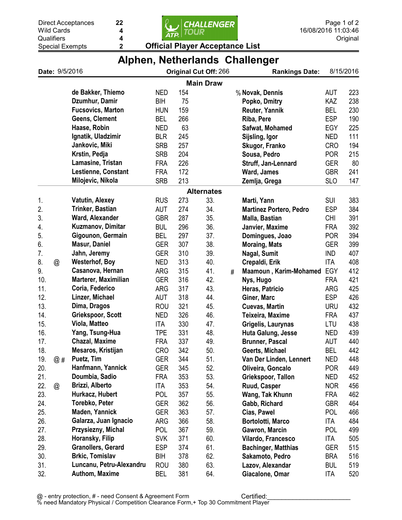22

4 4



|     | Date: 9/5/2016 |                            |            |     |                       |   | Alphen, retherands Unaneliger  |            |           |
|-----|----------------|----------------------------|------------|-----|-----------------------|---|--------------------------------|------------|-----------|
|     |                |                            |            |     | Original Cut Off: 266 |   | <b>Rankings Date:</b>          |            | 8/15/2016 |
|     |                |                            |            |     | <b>Main Draw</b>      |   |                                |            |           |
|     |                | de Bakker, Thiemo          | <b>NED</b> | 154 |                       |   | % Novak, Dennis                | <b>AUT</b> | 223       |
|     |                | Dzumhur, Damir             | <b>BIH</b> | 75  |                       |   | Popko, Dmitry                  | KAZ        | 238       |
|     |                | <b>Fucsovics, Marton</b>   | <b>HUN</b> | 159 |                       |   | Reuter, Yannik                 | <b>BEL</b> | 230       |
|     |                | <b>Geens, Clement</b>      | <b>BEL</b> | 266 |                       |   | Riba, Pere                     | <b>ESP</b> | 190       |
|     |                | Haase, Robin               | <b>NED</b> | 63  |                       |   | Safwat, Mohamed                | EGY        | 225       |
|     |                | Ignatik, Uladzimir         | <b>BLR</b> | 245 |                       |   | Sijsling, Igor                 | <b>NED</b> | 111       |
|     |                | Jankovic, Miki             | <b>SRB</b> | 257 |                       |   | Skugor, Franko                 | <b>CRO</b> | 194       |
|     |                | Krstin, Pedja              | <b>SRB</b> | 204 |                       |   | Sousa, Pedro                   | <b>POR</b> | 215       |
|     |                | Lamasine, Tristan          | <b>FRA</b> | 226 |                       |   | Struff, Jan-Lennard            | <b>GER</b> | 80        |
|     |                | <b>Lestienne, Constant</b> | <b>FRA</b> | 172 |                       |   | Ward, James                    | <b>GBR</b> | 241       |
|     |                | Milojevic, Nikola          | <b>SRB</b> | 213 |                       |   | Zemlja, Grega                  | <b>SLO</b> | 147       |
|     |                |                            |            |     | <b>Alternates</b>     |   |                                |            |           |
| 1.  |                | <b>Vatutin, Alexey</b>     | <b>RUS</b> | 273 | 33.                   |   | Marti, Yann                    | <b>SUI</b> | 383       |
| 2.  |                | Trinker, Bastian           | <b>AUT</b> | 274 | 34.                   |   | <b>Martinez Portero, Pedro</b> | <b>ESP</b> | 384       |
| 3.  |                | Ward, Alexander            | <b>GBR</b> | 287 | 35.                   |   | Malla, Bastian                 | CHI        | 391       |
| 4.  |                | <b>Kuzmanov, Dimitar</b>   | <b>BUL</b> | 296 | 36.                   |   | Janvier, Maxime                | <b>FRA</b> | 392       |
| 5.  |                | Gigounon, Germain          | <b>BEL</b> | 297 | 37.                   |   | Domingues, Joao                | <b>POR</b> | 394       |
| 6.  |                | <b>Masur, Daniel</b>       | <b>GER</b> | 307 | 38.                   |   | <b>Moraing, Mats</b>           | <b>GER</b> | 399       |
| 7.  |                | Jahn, Jeremy               | <b>GER</b> | 310 | 39.                   |   | Nagal, Sumit                   | <b>IND</b> | 407       |
| 8.  | @              | <b>Westerhof, Boy</b>      | <b>NED</b> | 313 | 40.                   |   | Crepaldi, Erik                 | <b>ITA</b> | 408       |
| 9.  |                | Casanova, Hernan           | <b>ARG</b> | 315 | 41.                   | # | Maamoun, Karim-Mohamed         | EGY        | 412       |
| 10. |                | Marterer, Maximilian       | <b>GER</b> | 316 | 42.                   |   | Nys, Hugo                      | <b>FRA</b> | 421       |
| 11. |                | Coria, Federico            | <b>ARG</b> | 317 | 43.                   |   | Heras, Patricio                | ARG        | 425       |
| 12. |                | Linzer, Michael            | <b>AUT</b> | 318 | 44.                   |   | Giner, Marc                    | <b>ESP</b> | 426       |
| 13. |                | Dima, Dragos               | <b>ROU</b> | 321 | 45.                   |   | <b>Cuevas, Martin</b>          | <b>URU</b> | 432       |
| 14. |                | Griekspoor, Scott          | <b>NED</b> | 326 | 46.                   |   | Teixeira, Maxime               | <b>FRA</b> | 437       |
| 15. |                | Viola, Matteo              | ITA        | 330 | 47.                   |   | Grigelis, Laurynas             | LTU        | 438       |
| 16. |                | Yang, Tsung-Hua            | <b>TPE</b> | 331 | 48.                   |   | Huta Galung, Jesse             | <b>NED</b> | 439       |
| 17. |                | <b>Chazal, Maxime</b>      | <b>FRA</b> | 337 | 49.                   |   | <b>Brunner, Pascal</b>         | <b>AUT</b> | 440       |
| 18. |                | Mesaros, Kristijan         | <b>CRO</b> | 342 | 50.                   |   | Geerts, Michael                | <b>BEL</b> | 442       |
| 19. | @#             | Puetz, Tim                 | <b>GER</b> | 344 | 51.                   |   | Van Der Linden, Lennert        | <b>NED</b> | 448       |
| 20. |                | Hanfmann, Yannick          | <b>GER</b> | 345 | 52.                   |   | Oliveira, Goncalo              | <b>POR</b> | 449       |
| 21. |                | Doumbia, Sadio             | <b>FRA</b> | 353 | 53.                   |   | Griekspoor, Tallon             | NED        | 452       |
| 22. | $^{\circledR}$ | Brizzi, Alberto            | ITA        | 353 | 54.                   |   | Ruud, Casper                   | <b>NOR</b> | 456       |
| 23. |                | Hurkacz, Hubert            | <b>POL</b> | 357 | 55.                   |   | Wang, Tak Khunn                | <b>FRA</b> | 462       |
| 24. |                | Torebko, Peter             | <b>GER</b> | 362 | 56.                   |   | Gabb, Richard                  | <b>GBR</b> | 464       |
| 25. |                | Maden, Yannick             | <b>GER</b> | 363 | 57.                   |   | Cias, Pawel                    | <b>POL</b> | 466       |
| 26. |                | Galarza, Juan Ignacio      | <b>ARG</b> | 366 | 58.                   |   | <b>Bortolotti, Marco</b>       | <b>ITA</b> | 484       |
| 27. |                | Przysiezny, Michal         | <b>POL</b> | 367 | 59.                   |   | Gawron, Marcin                 | <b>POL</b> | 499       |
| 28. |                | Horansky, Filip            | <b>SVK</b> | 371 | 60.                   |   | Vilardo, Francesco             | ITA        | 505       |
| 29. |                | <b>Granollers, Gerard</b>  | <b>ESP</b> | 374 | 61.                   |   | <b>Bachinger, Matthias</b>     | <b>GER</b> | 515       |
| 30. |                | <b>Brkic, Tomislav</b>     | BIH        | 378 | 62.                   |   | Sakamoto, Pedro                | <b>BRA</b> | 516       |
| 31. |                | Luncanu, Petru-Alexandru   | <b>ROU</b> | 380 | 63.                   |   | Lazov, Alexandar               | <b>BUL</b> | 519       |
| 32. |                | Authom, Maxime             | <b>BEL</b> | 381 | 64.                   |   | Giacalone, Omar                | ITA        | 520       |

## Alphen, Netherlands Challenger